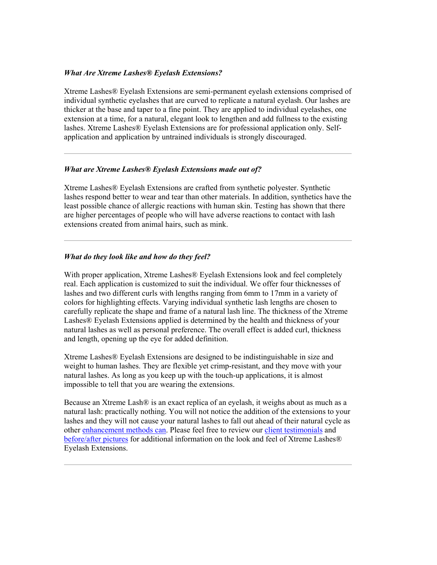### *What Are Xtreme Lashes® Eyelash Extensions?*

Xtreme Lashes® Eyelash Extensions are semi-permanent eyelash extensions comprised of individual synthetic eyelashes that are curved to replicate a natural eyelash. Our lashes are thicker at the base and taper to a fine point. They are applied to individual eyelashes, one extension at a time, for a natural, elegant look to lengthen and add fullness to the existing lashes. Xtreme Lashes® Eyelash Extensions are for professional application only. Selfapplication and application by untrained individuals is strongly discouraged.

### *What are Xtreme Lashes® Eyelash Extensions made out of?*

Xtreme Lashes® Eyelash Extensions are crafted from synthetic polyester. Synthetic lashes respond better to wear and tear than other materials. In addition, synthetics have the least possible chance of allergic reactions with human skin. Testing has shown that there are higher percentages of people who will have adverse reactions to contact with lash extensions created from animal hairs, such as mink.

# *What do they look like and how do they feel?*

With proper application, Xtreme Lashes® Eyelash Extensions look and feel completely real. Each application is customized to suit the individual. We offer four thicknesses of lashes and two different curls with lengths ranging from 6mm to 17mm in a variety of colors for highlighting effects. Varying individual synthetic lash lengths are chosen to carefully replicate the shape and frame of a natural lash line. The thickness of the Xtreme Lashes® Eyelash Extensions applied is determined by the health and thickness of your natural lashes as well as personal preference. The overall effect is added curl, thickness and length, opening up the eye for added definition.

Xtreme Lashes® Eyelash Extensions are designed to be indistinguishable in size and weight to human lashes. They are flexible yet crimp-resistant, and they move with your natural lashes. As long as you keep up with the touch-up applications, it is almost impossible to tell that you are wearing the extensions.

Because an Xtreme Lash® is an exact replica of an eyelash, it weighs about as much as a natural lash: practically nothing. You will not notice the addition of the extensions to your lashes and they will not cause your natural lashes to fall out ahead of their natural cycle as other [enhancement methods can.](http://www.xtremelashes.com/CR_eyelash_enhancement.aspx) Please feel free to review ou[r client testimonials](http://www.xtremelashes.com/CR_eyelash_extensions_reviews.aspx) and [before/after pictures](http://www.xtremelashes.com/CR_eyelash_extensions_before_and_after.aspx) for additional information on the look and feel of Xtreme Lashes® Eyelash Extensions.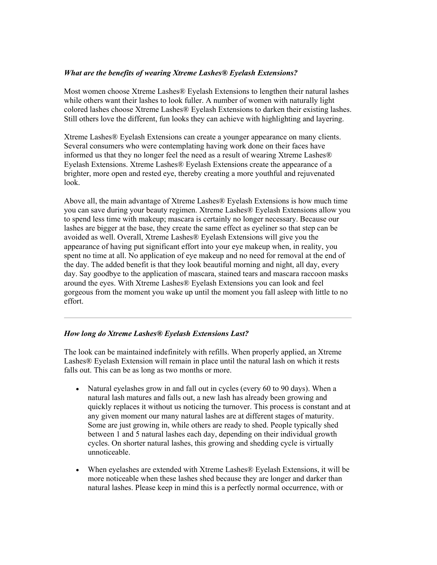# *What are the benefits of wearing Xtreme Lashes® Eyelash Extensions?*

Most women choose Xtreme Lashes® Eyelash Extensions to lengthen their natural lashes while others want their lashes to look fuller. A number of women with naturally light colored lashes choose Xtreme Lashes® Eyelash Extensions to darken their existing lashes. Still others love the different, fun looks they can achieve with highlighting and layering.

Xtreme Lashes® Eyelash Extensions can create a younger appearance on many clients. Several consumers who were contemplating having work done on their faces have informed us that they no longer feel the need as a result of wearing Xtreme Lashes® Eyelash Extensions. Xtreme Lashes® Eyelash Extensions create the appearance of a brighter, more open and rested eye, thereby creating a more youthful and rejuvenated look.

Above all, the main advantage of Xtreme Lashes® Eyelash Extensions is how much time you can save during your beauty regimen. Xtreme Lashes® Eyelash Extensions allow you to spend less time with makeup; mascara is certainly no longer necessary. Because our lashes are bigger at the base, they create the same effect as eyeliner so that step can be avoided as well. Overall, Xtreme Lashes® Eyelash Extensions will give you the appearance of having put significant effort into your eye makeup when, in reality, you spent no time at all. No application of eye makeup and no need for removal at the end of the day. The added benefit is that they look beautiful morning and night, all day, every day. Say goodbye to the application of mascara, stained tears and mascara raccoon masks around the eyes. With Xtreme Lashes® Eyelash Extensions you can look and feel gorgeous from the moment you wake up until the moment you fall asleep with little to no effort.

# *How long do Xtreme Lashes® Eyelash Extensions Last?*

The look can be maintained indefinitely with refills. When properly applied, an Xtreme Lashes® Eyelash Extension will remain in place until the natural lash on which it rests falls out. This can be as long as two months or more.

- Natural eyelashes grow in and fall out in cycles (every 60 to 90 days). When a natural lash matures and falls out, a new lash has already been growing and quickly replaces it without us noticing the turnover. This process is constant and at any given moment our many natural lashes are at different stages of maturity. Some are just growing in, while others are ready to shed. People typically shed between 1 and 5 natural lashes each day, depending on their individual growth cycles. On shorter natural lashes, this growing and shedding cycle is virtually unnoticeable.
- When eyelashes are extended with Xtreme Lashes® Eyelash Extensions, it will be more noticeable when these lashes shed because they are longer and darker than natural lashes. Please keep in mind this is a perfectly normal occurrence, with or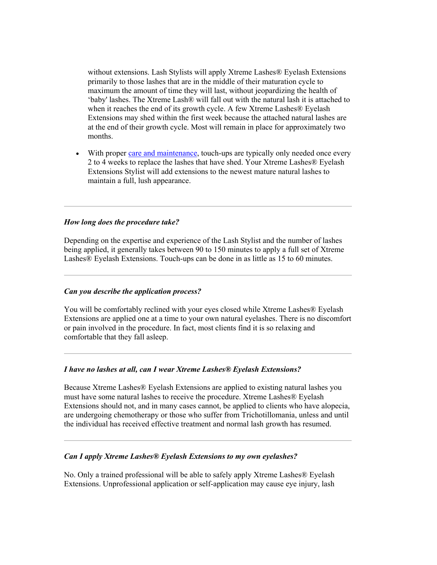without extensions. Lash Stylists will apply Xtreme Lashes® Eyelash Extensions primarily to those lashes that are in the middle of their maturation cycle to maximum the amount of time they will last, without jeopardizing the health of 'baby' lashes. The Xtreme Lash® will fall out with the natural lash it is attached to when it reaches the end of its growth cycle. A few Xtreme Lashes® Eyelash Extensions may shed within the first week because the attached natural lashes are at the end of their growth cycle. Most will remain in place for approximately two months.

With prope[r care and maintenance,](http://www.xtremelashes.com/CR_faq_lash_extensions.aspx) touch-ups are typically only needed once every 2 to 4 weeks to replace the lashes that have shed. Your Xtreme Lashes® Eyelash Extensions Stylist will add extensions to the newest mature natural lashes to maintain a full, lush appearance.

# *How long does the procedure take?*

Depending on the expertise and experience of the Lash Stylist and the number of lashes being applied, it generally takes between 90 to 150 minutes to apply a full set of Xtreme Lashes® Eyelash Extensions. Touch-ups can be done in as little as 15 to 60 minutes.

#### *Can you describe the application process?*

You will be comfortably reclined with your eyes closed while Xtreme Lashes® Eyelash Extensions are applied one at a time to your own natural eyelashes. There is no discomfort or pain involved in the procedure. In fact, most clients find it is so relaxing and comfortable that they fall asleep.

#### *I have no lashes at all, can I wear Xtreme Lashes® Eyelash Extensions?*

Because Xtreme Lashes® Eyelash Extensions are applied to existing natural lashes you must have some natural lashes to receive the procedure. Xtreme Lashes® Eyelash Extensions should not, and in many cases cannot, be applied to clients who have alopecia, are undergoing chemotherapy or those who suffer from Trichotillomania, unless and until the individual has received effective treatment and normal lash growth has resumed.

# *Can I apply Xtreme Lashes® Eyelash Extensions to my own eyelashes?*

No. Only a trained professional will be able to safely apply Xtreme Lashes® Eyelash Extensions. Unprofessional application or self-application may cause eye injury, lash